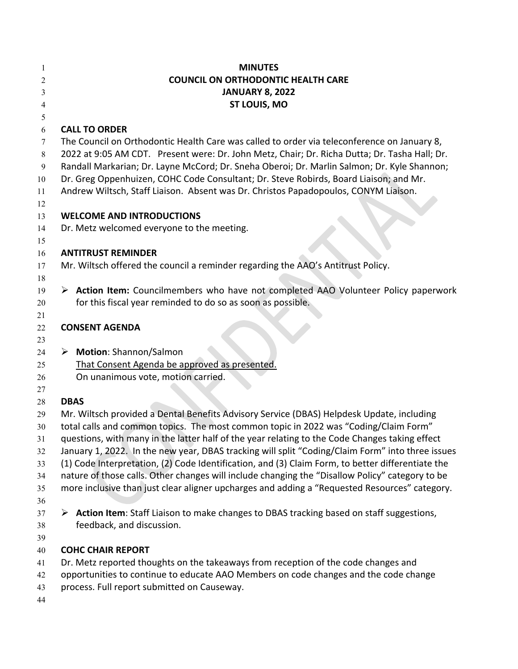| 1        | <b>MINUTES</b>                                                                                                         |
|----------|------------------------------------------------------------------------------------------------------------------------|
| 2        | <b>COUNCIL ON ORTHODONTIC HEALTH CARE</b>                                                                              |
| 3        | <b>JANUARY 8, 2022</b>                                                                                                 |
| 4        | ST LOUIS, MO                                                                                                           |
| 5        |                                                                                                                        |
| 6        | <b>CALL TO ORDER</b>                                                                                                   |
| 7        | The Council on Orthodontic Health Care was called to order via teleconference on January 8,                            |
| 8        | 2022 at 9:05 AM CDT. Present were: Dr. John Metz, Chair; Dr. Richa Dutta; Dr. Tasha Hall; Dr.                          |
| 9        | Randall Markarian; Dr. Layne McCord; Dr. Sneha Oberoi; Dr. Marlin Salmon; Dr. Kyle Shannon;                            |
| 10       | Dr. Greg Oppenhuizen, COHC Code Consultant; Dr. Steve Robirds, Board Liaison; and Mr.                                  |
| 11       | Andrew Wiltsch, Staff Liaison. Absent was Dr. Christos Papadopoulos, CONYM Liaison.                                    |
| 12       |                                                                                                                        |
| 13       | <b>WELCOME AND INTRODUCTIONS</b>                                                                                       |
| 14       | Dr. Metz welcomed everyone to the meeting.                                                                             |
| 15       |                                                                                                                        |
| 16       | <b>ANTITRUST REMINDER</b>                                                                                              |
| 17       | Mr. Wiltsch offered the council a reminder regarding the AAO's Antitrust Policy.                                       |
| 18<br>19 | > Action Item: Councilmembers who have not completed AAO Volunteer Policy paperwork                                    |
| 20       | for this fiscal year reminded to do so as soon as possible.                                                            |
| 21       |                                                                                                                        |
| 22       | <b>CONSENT AGENDA</b>                                                                                                  |
| 23       |                                                                                                                        |
| 24       | > Motion: Shannon/Salmon                                                                                               |
| 25       | That Consent Agenda be approved as presented.                                                                          |
| 26       | On unanimous vote, motion carried.                                                                                     |
| 27       |                                                                                                                        |
| 28       | <b>DBAS</b>                                                                                                            |
| 29       | Mr. Wiltsch provided a Dental Benefits Advisory Service (DBAS) Helpdesk Update, including                              |
| 30       | total calls and common topics. The most common topic in 2022 was "Coding/Claim Form"                                   |
| 31       | questions, with many in the latter half of the year relating to the Code Changes taking effect                         |
| 32       | January 1, 2022. In the new year, DBAS tracking will split "Coding/Claim Form" into three issues                       |
| 33       | (1) Code Interpretation, (2) Code Identification, and (3) Claim Form, to better differentiate the                      |
| 34       | nature of those calls. Other changes will include changing the "Disallow Policy" category to be                        |
| 35       | more inclusive than just clear aligner upcharges and adding a "Requested Resources" category.                          |
| 36       |                                                                                                                        |
| 37       | > Action Item: Staff Liaison to make changes to DBAS tracking based on staff suggestions,<br>feedback, and discussion. |
| 38<br>39 |                                                                                                                        |
| 40       | <b>COHC CHAIR REPORT</b>                                                                                               |
| 41       | Dr. Metz reported thoughts on the takeaways from reception of the code changes and                                     |
| 42       | opportunities to continue to educate AAO Members on code changes and the code change                                   |
| 43       | process. Full report submitted on Causeway.                                                                            |
| 44       |                                                                                                                        |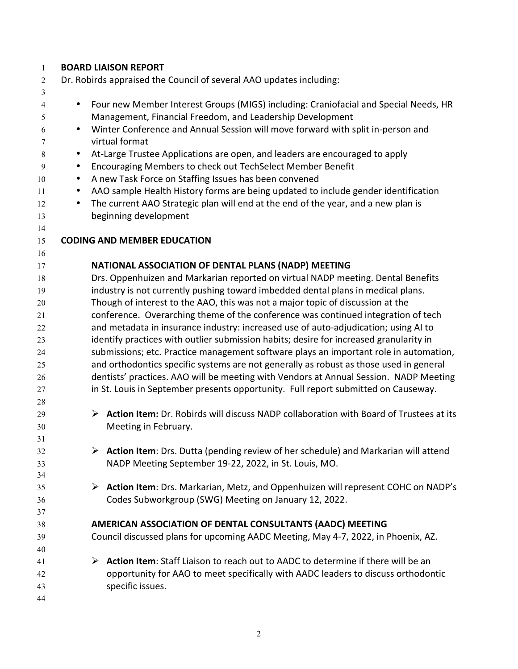| $\mathbf{1}$   |           |   | <b>BOARD LIAISON REPORT</b>                                                               |
|----------------|-----------|---|-------------------------------------------------------------------------------------------|
| $\overline{2}$ |           |   | Dr. Robirds appraised the Council of several AAO updates including:                       |
| 3              |           |   |                                                                                           |
| 4              | $\bullet$ |   | Four new Member Interest Groups (MIGS) including: Craniofacial and Special Needs, HR      |
| 5              |           |   | Management, Financial Freedom, and Leadership Development                                 |
| 6              | $\bullet$ |   | Winter Conference and Annual Session will move forward with split in-person and           |
| 7              |           |   | virtual format                                                                            |
| 8              | $\bullet$ |   | At-Large Trustee Applications are open, and leaders are encouraged to apply               |
| 9              | ٠         |   | Encouraging Members to check out TechSelect Member Benefit                                |
| 10             | $\bullet$ |   | A new Task Force on Staffing Issues has been convened                                     |
| 11             | $\bullet$ |   | AAO sample Health History forms are being updated to include gender identification        |
| 12             | $\bullet$ |   | The current AAO Strategic plan will end at the end of the year, and a new plan is         |
| 13             |           |   | beginning development                                                                     |
| 14             |           |   |                                                                                           |
| 15             |           |   | <b>CODING AND MEMBER EDUCATION</b>                                                        |
| 16             |           |   |                                                                                           |
| 17             |           |   | NATIONAL ASSOCIATION OF DENTAL PLANS (NADP) MEETING                                       |
| 18             |           |   | Drs. Oppenhuizen and Markarian reported on virtual NADP meeting. Dental Benefits          |
| 19             |           |   | industry is not currently pushing toward imbedded dental plans in medical plans.          |
| 20             |           |   | Though of interest to the AAO, this was not a major topic of discussion at the            |
| 21             |           |   | conference. Overarching theme of the conference was continued integration of tech         |
| 22             |           |   | and metadata in insurance industry: increased use of auto-adjudication; using AI to       |
| 23             |           |   | identify practices with outlier submission habits; desire for increased granularity in    |
| 24             |           |   | submissions; etc. Practice management software plays an important role in automation,     |
| 25             |           |   | and orthodontics specific systems are not generally as robust as those used in general    |
| 26             |           |   | dentists' practices. AAO will be meeting with Vendors at Annual Session. NADP Meeting     |
| 27             |           |   | in St. Louis in September presents opportunity. Full report submitted on Causeway.        |
| 28             |           |   |                                                                                           |
| 29             |           | ➤ | Action Item: Dr. Robirds will discuss NADP collaboration with Board of Trustees at its    |
| 30             |           |   | Meeting in February.                                                                      |
| 31             |           |   | <b>Action Item:</b> Drs. Dutta (pending review of her schedule) and Markarian will attend |
| 32<br>33       |           |   | NADP Meeting September 19-22, 2022, in St. Louis, MO.                                     |
| 34             |           |   |                                                                                           |
| 35             |           | ➤ | Action Item: Drs. Markarian, Metz, and Oppenhuizen will represent COHC on NADP's          |
| 36             |           |   | Codes Subworkgroup (SWG) Meeting on January 12, 2022.                                     |
| 37             |           |   |                                                                                           |
| 38             |           |   | AMERICAN ASSOCIATION OF DENTAL CONSULTANTS (AADC) MEETING                                 |
| 39             |           |   | Council discussed plans for upcoming AADC Meeting, May 4-7, 2022, in Phoenix, AZ.         |
| 40             |           |   |                                                                                           |
| 41             |           | ➤ | Action Item: Staff Liaison to reach out to AADC to determine if there will be an          |
| 42             |           |   | opportunity for AAO to meet specifically with AADC leaders to discuss orthodontic         |
| 43             |           |   | specific issues.                                                                          |
| 44             |           |   |                                                                                           |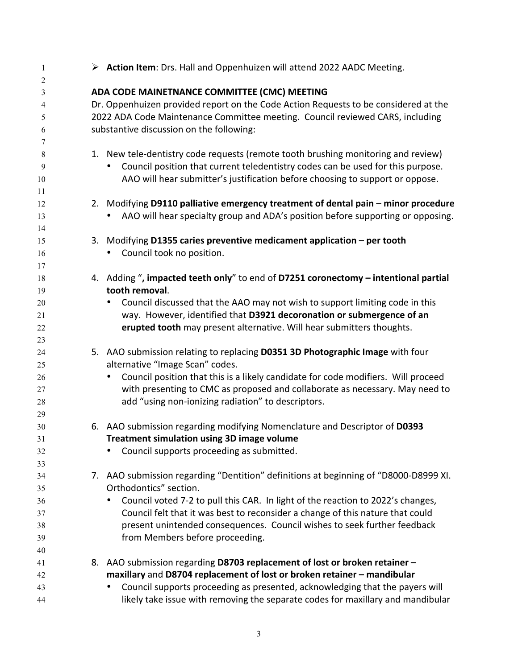| 1                                | > Action Item: Drs. Hall and Oppenhuizen will attend 2022 AADC Meeting.                                        |
|----------------------------------|----------------------------------------------------------------------------------------------------------------|
| $\overline{2}$<br>$\mathfrak{Z}$ | ADA CODE MAINETNANCE COMMITTEE (CMC) MEETING                                                                   |
| 4                                | Dr. Oppenhuizen provided report on the Code Action Requests to be considered at the                            |
| 5                                | 2022 ADA Code Maintenance Committee meeting. Council reviewed CARS, including                                  |
| 6                                | substantive discussion on the following:                                                                       |
| 7                                |                                                                                                                |
| 8                                | 1. New tele-dentistry code requests (remote tooth brushing monitoring and review)                              |
| 9                                | Council position that current teledentistry codes can be used for this purpose.                                |
| 10                               | AAO will hear submitter's justification before choosing to support or oppose.                                  |
| 11                               |                                                                                                                |
| 12                               | 2. Modifying D9110 palliative emergency treatment of dental pain - minor procedure                             |
| 13                               | AAO will hear specialty group and ADA's position before supporting or opposing.                                |
| 14                               |                                                                                                                |
| 15                               | Modifying D1355 caries preventive medicament application – per tooth<br>3.                                     |
| 16                               | Council took no position.                                                                                      |
| 17                               |                                                                                                                |
| 18                               | 4. Adding ", impacted teeth only" to end of D7251 coronectomy - intentional partial                            |
| 19                               | tooth removal.                                                                                                 |
| 20                               | Council discussed that the AAO may not wish to support limiting code in this                                   |
| 21                               | way. However, identified that D3921 decoronation or submergence of an                                          |
| 22                               | erupted tooth may present alternative. Will hear submitters thoughts.                                          |
| 23                               |                                                                                                                |
| 24                               | 5. AAO submission relating to replacing D0351 3D Photographic Image with four                                  |
| 25                               | alternative "Image Scan" codes.                                                                                |
| 26                               | Council position that this is a likely candidate for code modifiers. Will proceed                              |
| $27\,$                           | with presenting to CMC as proposed and collaborate as necessary. May need to                                   |
| 28                               | add "using non-ionizing radiation" to descriptors.                                                             |
| 29                               |                                                                                                                |
| 30                               | 6. AAO submission regarding modifying Nomenclature and Descriptor of D0393                                     |
| 31                               | <b>Treatment simulation using 3D image volume</b>                                                              |
| 32                               | Council supports proceeding as submitted.<br>$\bullet$                                                         |
| 33                               |                                                                                                                |
| 34                               | 7. AAO submission regarding "Dentition" definitions at beginning of "D8000-D8999 XI.<br>Orthodontics" section. |
| 35                               | Council voted 7-2 to pull this CAR. In light of the reaction to 2022's changes,                                |
| 36                               | Council felt that it was best to reconsider a change of this nature that could                                 |
| 37                               | present unintended consequences. Council wishes to seek further feedback                                       |
| 38                               | from Members before proceeding.                                                                                |
| 39<br>40                         |                                                                                                                |
| 41                               | 8. AAO submission regarding D8703 replacement of lost or broken retainer -                                     |
| 42                               | maxillary and D8704 replacement of lost or broken retainer - mandibular                                        |
| 43                               | Council supports proceeding as presented, acknowledging that the payers will                                   |
| 44                               | likely take issue with removing the separate codes for maxillary and mandibular                                |
|                                  |                                                                                                                |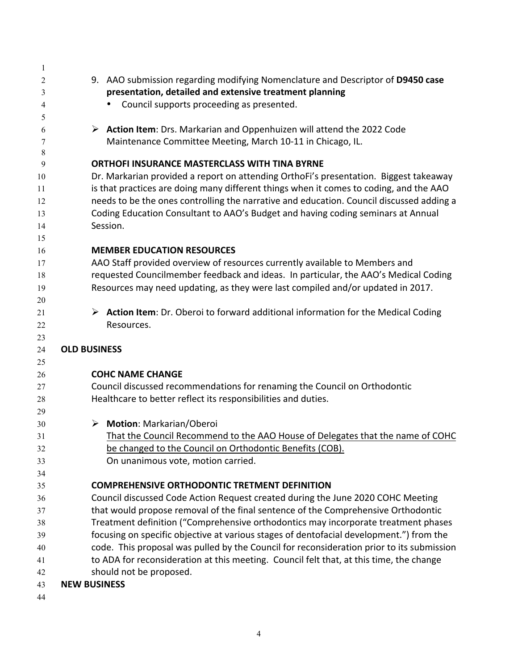| 1              |                                                                                                   |
|----------------|---------------------------------------------------------------------------------------------------|
| $\overline{c}$ | 9. AAO submission regarding modifying Nomenclature and Descriptor of D9450 case                   |
| 3              | presentation, detailed and extensive treatment planning                                           |
| $\overline{4}$ | Council supports proceeding as presented.                                                         |
| 5              |                                                                                                   |
| 6              | $\triangleright$ Action Item: Drs. Markarian and Oppenhuizen will attend the 2022 Code            |
| 7              | Maintenance Committee Meeting, March 10-11 in Chicago, IL.                                        |
| 8              |                                                                                                   |
| 9              | <b>ORTHOFI INSURANCE MASTERCLASS WITH TINA BYRNE</b>                                              |
| 10             | Dr. Markarian provided a report on attending OrthoFi's presentation. Biggest takeaway             |
| 11             | is that practices are doing many different things when it comes to coding, and the AAO            |
| 12             | needs to be the ones controlling the narrative and education. Council discussed adding a          |
| 13             | Coding Education Consultant to AAO's Budget and having coding seminars at Annual                  |
| 14             | Session.                                                                                          |
| 15             |                                                                                                   |
| 16             | <b>MEMBER EDUCATION RESOURCES</b>                                                                 |
| 17             | AAO Staff provided overview of resources currently available to Members and                       |
| 18             | requested Councilmember feedback and ideas. In particular, the AAO's Medical Coding               |
| 19             | Resources may need updating, as they were last compiled and/or updated in 2017.                   |
| 20             |                                                                                                   |
| 21             | $\triangleright$ Action Item: Dr. Oberoi to forward additional information for the Medical Coding |
| 22             | Resources.                                                                                        |
| 23             |                                                                                                   |
| 24             | <b>OLD BUSINESS</b>                                                                               |
| 25             |                                                                                                   |
| 26             | <b>COHC NAME CHANGE</b>                                                                           |
| 27             | Council discussed recommendations for renaming the Council on Orthodontic                         |
| 28<br>29       | Healthcare to better reflect its responsibilities and duties.                                     |
| 30             | > Motion: Markarian/Oberoi                                                                        |
| 31             | That the Council Recommend to the AAO House of Delegates that the name of COHC                    |
| 32             | be changed to the Council on Orthodontic Benefits (COB).                                          |
| 33             | On unanimous vote, motion carried.                                                                |
| 34             |                                                                                                   |
| 35             | <b>COMPREHENSIVE ORTHODONTIC TRETMENT DEFINITION</b>                                              |
| 36             | Council discussed Code Action Request created during the June 2020 COHC Meeting                   |
| 37             | that would propose removal of the final sentence of the Comprehensive Orthodontic                 |
| 38             | Treatment definition ("Comprehensive orthodontics may incorporate treatment phases                |
| 39             | focusing on specific objective at various stages of dentofacial development.") from the           |
| 40             | code. This proposal was pulled by the Council for reconsideration prior to its submission         |
| 41             | to ADA for reconsideration at this meeting. Council felt that, at this time, the change           |
| 42             | should not be proposed.                                                                           |
| 43             | <b>NEW BUSINESS</b>                                                                               |
|                |                                                                                                   |